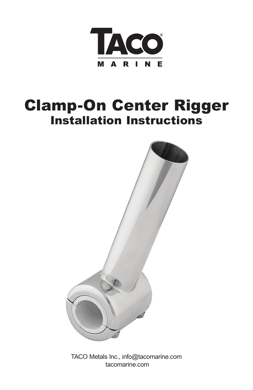

## Clamp-On Center Rigger Installation Instructions



TACO Metals Inc., info@tacomarine.com tacomarine.com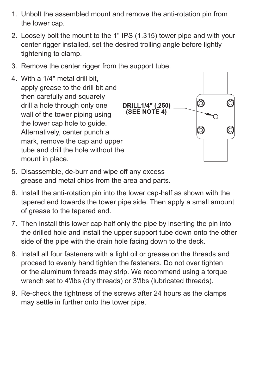- 1. Unbolt the assembled mount and remove the anti-rotation pin from the lower cap.
- 2. Loosely bolt the mount to the 1" IPS (1.315) tower pipe and with your center rigger installed, set the desired trolling angle before lightly tightening to clamp.
- 3. Remove the center rigger from the support tube.
- 4. With a 1/4" metal drill bit, apply grease to the drill bit and then carefully and squarely drill a hole through only one wall of the tower piping using the lower cap hole to guide. Alternatively, center punch a mark, remove the cap and upper tube and drill the hole without the mount in place.



- 5. Disassemble, de-burr and wipe off any excess grease and metal chips from the area and parts.
- 6. Install the anti-rotation pin into the lower cap-half as shown with the tapered end towards the tower pipe side. Then apply a small amount of grease to the tapered end.
- 7. Then install this lower cap half only the pipe by inserting the pin into the drilled hole and install the upper support tube down onto the other side of the pipe with the drain hole facing down to the deck.
- 8. Install all four fasteners with a light oil or grease on the threads and proceed to evenly hand tighten the fasteners. Do not over tighten or the aluminum threads may strip. We recommend using a torque wrench set to 4'/lbs (dry threads) or 3'/lbs (lubricated threads).
- 9. Re-check the tightness of the screws after 24 hours as the clamps may settle in further onto the tower pipe.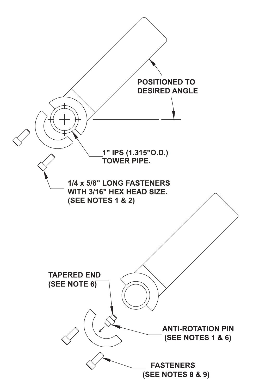